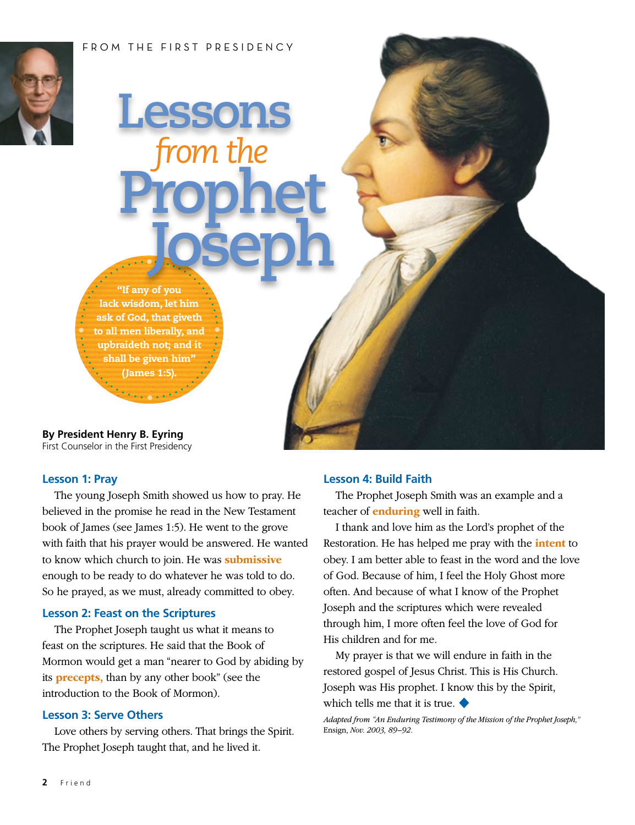#### FROM THE FIRST PRESIDENCY



# **Lessons**  *from the*  **Prophet Joseph**

"If any of you lack wisdom, let him ask of God, that giveth to all men liberally, and upbraideth not; and it shall be given him" (James 1:5).

**By President Henry B. Eyring** First Counselor in the First Presidency

#### **Lesson 1: Pray**

The young Joseph Smith showed us how to pray. He believed in the promise he read in the New Testament book of James (see James 1:5). He went to the grove with faith that his prayer would be answered. He wanted to know which church to join. He was **submissive** enough to be ready to do whatever he was told to do. So he prayed, as we must, already committed to obey.

#### **Lesson 2: Feast on the Scriptures**

The Prophet Joseph taught us what it means to feast on the scriptures. He said that the Book of Mormon would get a man "nearer to God by abiding by its **precepts,** than by any other book" (see the introduction to the Book of Mormon).

#### **Lesson 3: Serve Others**

Love others by serving others. That brings the Spirit. The Prophet Joseph taught that, and he lived it.

#### **Lesson 4: Build Faith**

The Prophet Joseph Smith was an example and a teacher of **enduring** well in faith.

I thank and love him as the Lord's prophet of the Restoration. He has helped me pray with the **intent** to obey. I am better able to feast in the word and the love of God. Because of him, I feel the Holy Ghost more often. And because of what I know of the Prophet Joseph and the scriptures which were revealed through him, I more often feel the love of God for His children and for me.

My prayer is that we will endure in faith in the restored gospel of Jesus Christ. This is His Church. Joseph was His prophet. I know this by the Spirit, which tells me that it is true. ◆

*Adapted from "An Enduring Testimony of the Mission of the Prophet Joseph,"*  Ensign, *Nov. 2003, 89–92.*